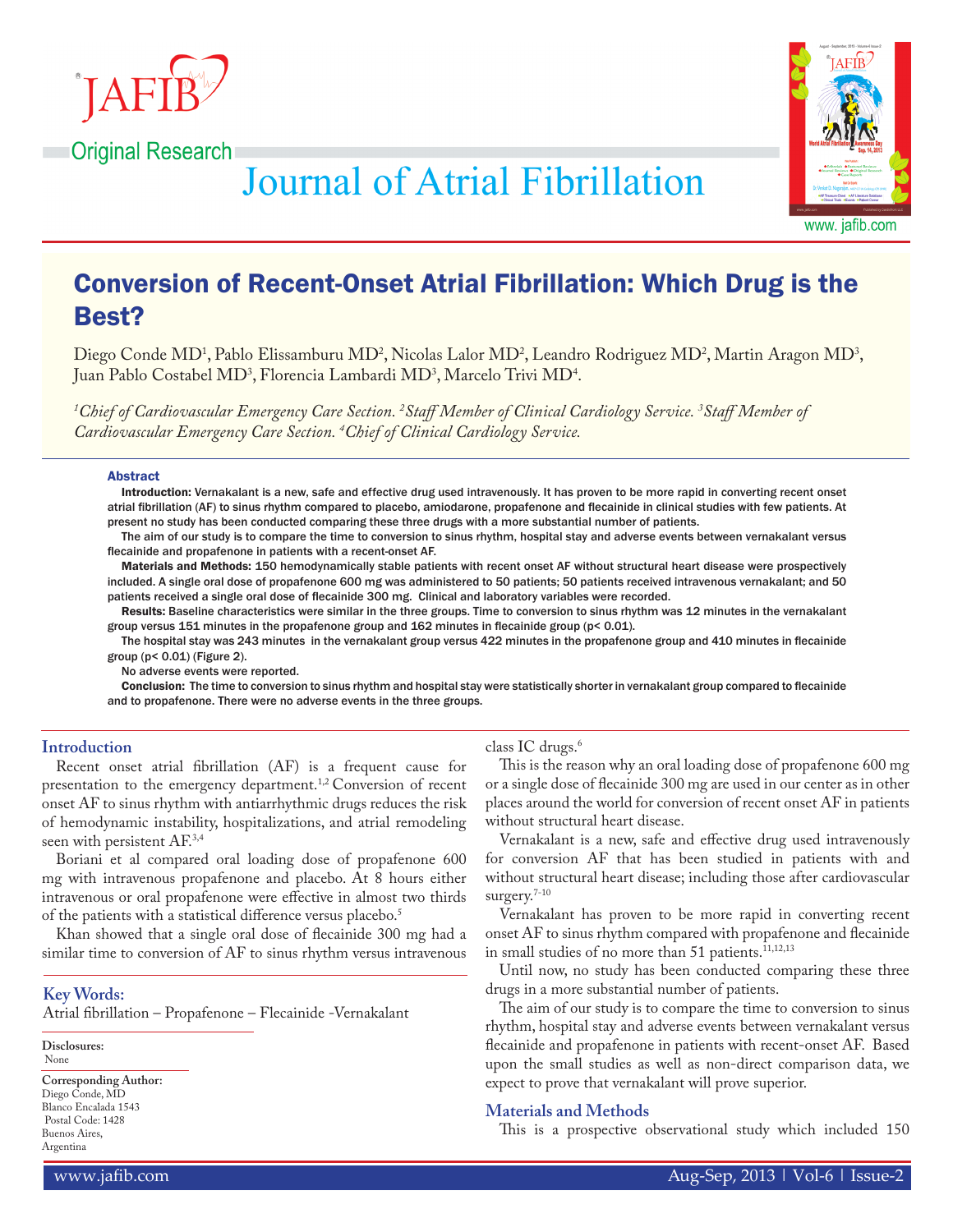

**Original Research** 



**Journal of Atrial Fibrillation** 

# Conversion of Recent-Onset Atrial Fibrillation: Which Drug is the Best?

Diego Conde MD<sup>1</sup>, Pablo Elissamburu MD<sup>2</sup>, Nicolas Lalor MD<sup>2</sup>, Leandro Rodriguez MD<sup>2</sup>, Martin Aragon MD<sup>3</sup>, Juan Pablo Costabel MD<sup>3</sup>, Florencia Lambardi MD<sup>3</sup>, Marcelo Trivi MD<sup>4</sup>.

*1 Chief of Cardiovascular Emergency Care Section. 2 Staff Member of Clinical Cardiology Service. 3 Staff Member of Cardiovascular Emergency Care Section. 4 Chief of Clinical Cardiology Service.*

#### Abstract

Introduction: Vernakalant is a new, safe and effective drug used intravenously. It has proven to be more rapid in converting recent onset atrial fibrillation (AF) to sinus rhythm compared to placebo, amiodarone, propafenone and flecainide in clinical studies with few patients. At present no study has been conducted comparing these three drugs with a more substantial number of patients.

The aim of our study is to compare the time to conversion to sinus rhythm, hospital stay and adverse events between vernakalant versus flecainide and propafenone in patients with a recent-onset AF.

Materials and Methods: 150 hemodynamically stable patients with recent onset AF without structural heart disease were prospectively included. A single oral dose of propafenone 600 mg was administered to 50 patients; 50 patients received intravenous vernakalant; and 50 patients received a single oral dose of flecainide 300 mg. Clinical and laboratory variables were recorded.

Results: Baseline characteristics were similar in the three groups. Time to conversion to sinus rhythm was 12 minutes in the vernakalant group versus 151 minutes in the propafenone group and 162 minutes in flecainide group (p< 0.01).

The hospital stay was 243 minutes in the vernakalant group versus 422 minutes in the propafenone group and 410 minutes in flecainide group (p< 0.01) (Figure 2).

No adverse events were reported.

Conclusion: The time to conversion to sinus rhythm and hospital stay were statistically shorter in vernakalant group compared to flecainide and to propafenone. There were no adverse events in the three groups.

## **Introduction**

Recent onset atrial fibrillation (AF) is a frequent cause for presentation to the emergency department.<sup>1,2</sup> Conversion of recent onset AF to sinus rhythm with antiarrhythmic drugs reduces the risk of hemodynamic instability, hospitalizations, and atrial remodeling seen with persistent AF.3,4

Boriani et al compared oral loading dose of propafenone 600 mg with intravenous propafenone and placebo. At 8 hours either intravenous or oral propafenone were effective in almost two thirds of the patients with a statistical difference versus placebo.<sup>5</sup>

Khan showed that a single oral dose of flecainide 300 mg had a similar time to conversion of AF to sinus rhythm versus intravenous

# **Key Words:**

Atrial fibrillation – Propafenone – Flecainide -Vernakalant

**Disclosures:** None

**Corresponding Author:** Diego Conde, MD Blanco Encalada 1543 Postal Code: 1428 Buenos Aires, Argentina

# class IC drugs.<sup>6</sup>

This is the reason why an oral loading dose of propafenone 600 mg or a single dose of flecainide 300 mg are used in our center as in other places around the world for conversion of recent onset AF in patients without structural heart disease.

Vernakalant is a new, safe and effective drug used intravenously for conversion AF that has been studied in patients with and without structural heart disease; including those after cardiovascular surgery.<sup>7-10</sup>

Vernakalant has proven to be more rapid in converting recent onset AF to sinus rhythm compared with propafenone and flecainide in small studies of no more than 51 patients.<sup>11,12,13</sup>

Until now, no study has been conducted comparing these three drugs in a more substantial number of patients.

The aim of our study is to compare the time to conversion to sinus rhythm, hospital stay and adverse events between vernakalant versus flecainide and propafenone in patients with recent-onset AF. Based upon the small studies as well as non-direct comparison data, we expect to prove that vernakalant will prove superior.

### **Materials and Methods**

This is a prospective observational study which included 150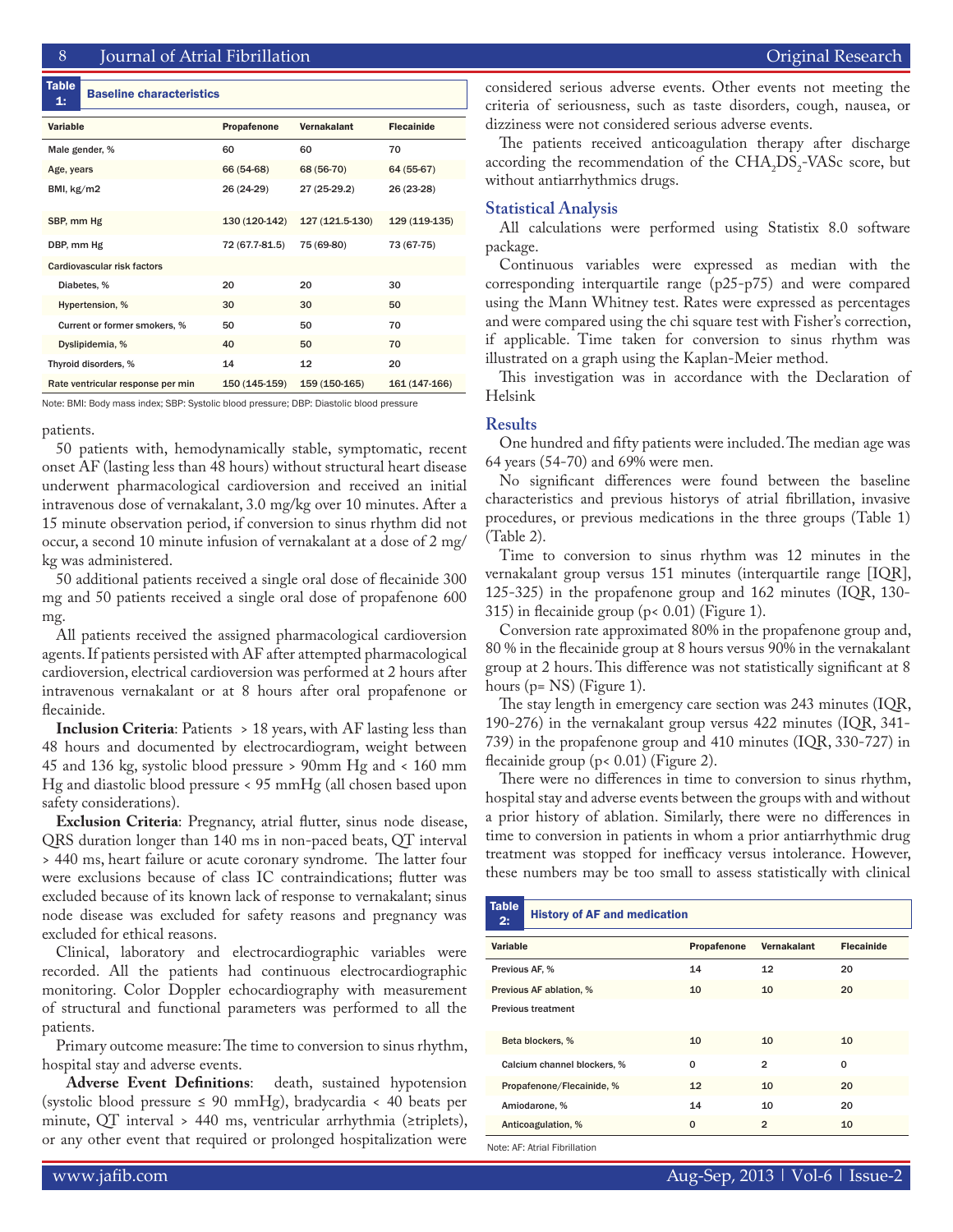#### Table **Baseline characteristics**

| Variable                          | Propafenone    | <b>Vernakalant</b> | <b>Flecainide</b> |
|-----------------------------------|----------------|--------------------|-------------------|
| Male gender, %                    | 60             | 60                 | 70                |
| Age, years                        | 66 (54-68)     | 68 (56-70)         | 64 (55-67)        |
| BMI, kg/m2                        | 26 (24-29)     | 27 (25-29.2)       | 26 (23-28)        |
| SBP, mm Hg                        | 130 (120-142)  | 127 (121.5-130)    | 129 (119-135)     |
| DBP, mm Hg                        | 72 (67.7-81.5) | 75 (69-80)         | 73 (67-75)        |
| Cardiovascular risk factors       |                |                    |                   |
| Diabetes, %                       | 20             | 20                 | 30                |
| Hypertension, %                   | 30             | 30                 | 50                |
| Current or former smokers, %      | 50             | 50                 | 70                |
| Dyslipidemia, %                   | 40             | 50                 | 70                |
| Thyroid disorders, %              | 14             | 12                 | 20                |
| Rate ventricular response per min | 150 (145-159)  | 159 (150-165)      | 161 (147-166)     |

Note: BMI: Body mass index; SBP: Systolic blood pressure; DBP: Diastolic blood pressure

#### patients.

50 patients with, hemodynamically stable, symptomatic, recent onset AF (lasting less than 48 hours) without structural heart disease underwent pharmacological cardioversion and received an initial intravenous dose of vernakalant, 3.0 mg/kg over 10 minutes. After a 15 minute observation period, if conversion to sinus rhythm did not occur, a second 10 minute infusion of vernakalant at a dose of 2 mg/ kg was administered.

50 additional patients received a single oral dose of flecainide 300 mg and 50 patients received a single oral dose of propafenone 600 mg.

All patients received the assigned pharmacological cardioversion agents. If patients persisted with AF after attempted pharmacological cardioversion, electrical cardioversion was performed at 2 hours after intravenous vernakalant or at 8 hours after oral propafenone or flecainide.

**Inclusion Criteria**: Patients > 18 years, with AF lasting less than 48 hours and documented by electrocardiogram, weight between 45 and 136 kg, systolic blood pressure > 90mm Hg and < 160 mm Hg and diastolic blood pressure < 95 mmHg (all chosen based upon safety considerations).

**Exclusion Criteria**: Pregnancy, atrial flutter, sinus node disease, QRS duration longer than 140 ms in non-paced beats, QT interval > 440 ms, heart failure or acute coronary syndrome. The latter four were exclusions because of class IC contraindications; flutter was excluded because of its known lack of response to vernakalant; sinus node disease was excluded for safety reasons and pregnancy was excluded for ethical reasons.

Clinical, laboratory and electrocardiographic variables were recorded. All the patients had continuous electrocardiographic monitoring. Color Doppler echocardiography with measurement of structural and functional parameters was performed to all the patients.

Primary outcome measure: The time to conversion to sinus rhythm, hospital stay and adverse events.

**Adverse Event Definitions**: death, sustained hypotension (systolic blood pressure ≤ 90 mmHg), bradycardia < 40 beats per minute, QT interval > 440 ms, ventricular arrhythmia (≥triplets), or any other event that required or prolonged hospitalization were

considered serious adverse events. Other events not meeting the criteria of seriousness, such as taste disorders, cough, nausea, or dizziness were not considered serious adverse events.

The patients received anticoagulation therapy after discharge according the recommendation of the  $CHA<sub>2</sub>DS<sub>2</sub>$ -VASc score, but without antiarrhythmics drugs.

#### **Statistical Analysis**

All calculations were performed using Statistix 8.0 software package.

Continuous variables were expressed as median with the corresponding interquartile range (p25-p75) and were compared using the Mann Whitney test. Rates were expressed as percentages and were compared using the chi square test with Fisher's correction, if applicable. Time taken for conversion to sinus rhythm was illustrated on a graph using the Kaplan-Meier method.

This investigation was in accordance with the Declaration of Helsink

#### **Results**

One hundred and fifty patients were included. The median age was 64 years (54-70) and 69% were men.

No significant differences were found between the baseline characteristics and previous historys of atrial fibrillation, invasive procedures, or previous medications in the three groups (Table 1) (Table 2).

Time to conversion to sinus rhythm was 12 minutes in the vernakalant group versus 151 minutes (interquartile range [IQR], 125-325) in the propafenone group and 162 minutes (IQR, 130- 315) in flecainide group (p< 0.01) (Figure 1).

Conversion rate approximated 80% in the propafenone group and, 80 % in the flecainide group at 8 hours versus 90% in the vernakalant group at 2 hours. This difference was not statistically significant at 8 hours ( $p=$  NS) (Figure 1).

The stay length in emergency care section was 243 minutes (IQR, 190-276) in the vernakalant group versus 422 minutes (IQR, 341- 739) in the propafenone group and 410 minutes (IQR, 330-727) in flecainide group (p< 0.01) (Figure 2).

There were no differences in time to conversion to sinus rhythm, hospital stay and adverse events between the groups with and without a prior history of ablation. Similarly, there were no differences in time to conversion in patients in whom a prior antiarrhythmic drug treatment was stopped for inefficacy versus intolerance. However, these numbers may be too small to assess statistically with clinical

| 2:                        | <b>Table</b><br><b>History of AF and medication</b> |                    |                    |                   |  |
|---------------------------|-----------------------------------------------------|--------------------|--------------------|-------------------|--|
| Variable                  |                                                     | <b>Propafenone</b> | <b>Vernakalant</b> | <b>Flecainide</b> |  |
| Previous AF, %            |                                                     | 14                 | 12                 | 20                |  |
|                           | Previous AF ablation, %                             | 10                 | 10                 | 20                |  |
| <b>Previous treatment</b> |                                                     |                    |                    |                   |  |
|                           | Beta blockers, %                                    | 10                 | 10                 | 10                |  |
|                           | Calcium channel blockers, %                         | 0                  | $\overline{2}$     | $\Omega$          |  |
|                           | Propafenone/Flecainide, %                           | 12                 | 10                 | 20                |  |
|                           | Amiodarone, %                                       | 14                 | 10                 | 20                |  |
|                           | Anticoagulation, %                                  | $\mathbf 0$        | 2                  | 10                |  |

Note: AF: Atrial Fibrillation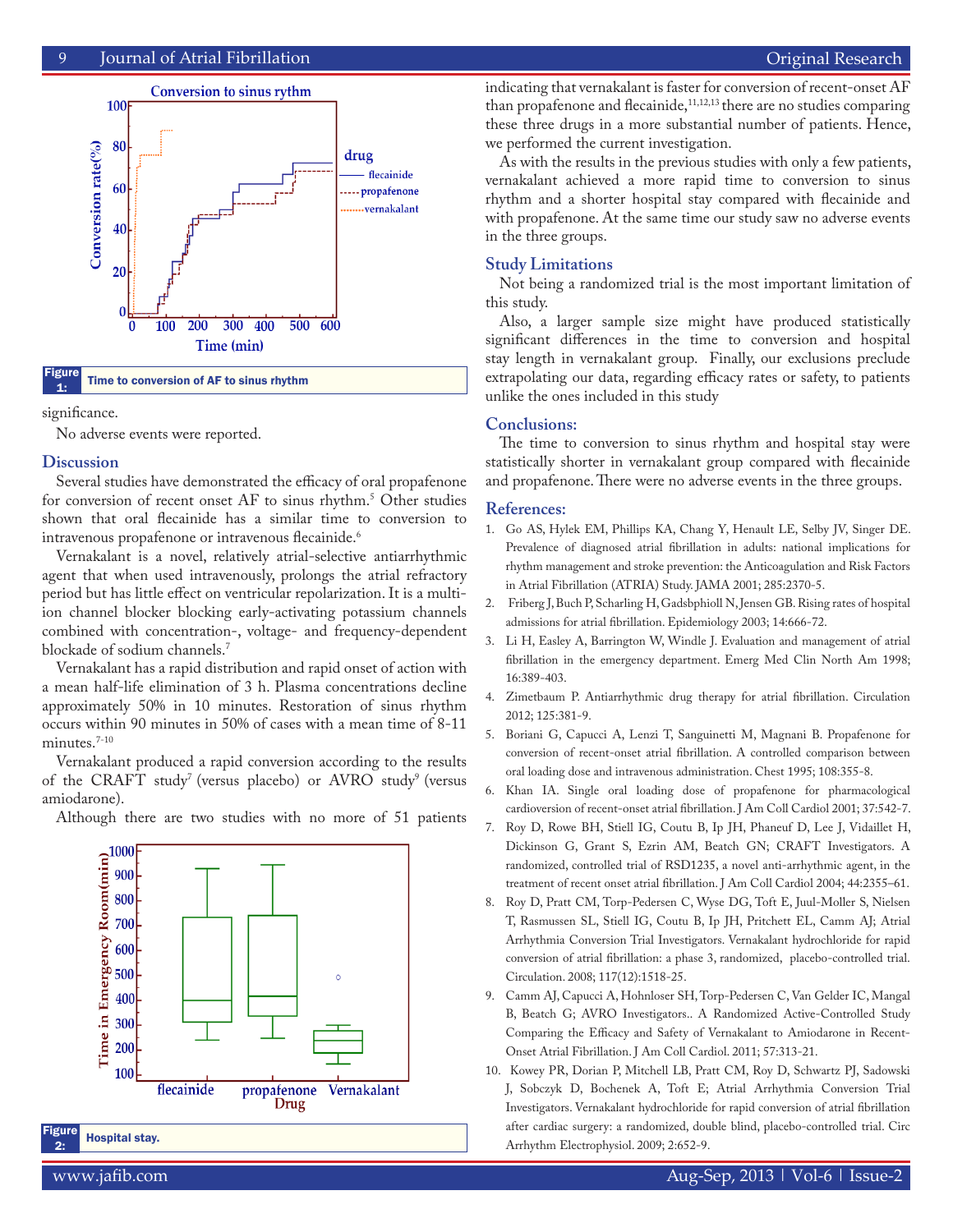

#### significance.

No adverse events were reported.

#### **Discussion**

Several studies have demonstrated the efficacy of oral propafenone for conversion of recent onset AF to sinus rhythm.<sup>5</sup> Other studies shown that oral flecainide has a similar time to conversion to intravenous propafenone or intravenous flecainide.<sup>6</sup>

Vernakalant is a novel, relatively atrial-selective antiarrhythmic agent that when used intravenously, prolongs the atrial refractory period but has little effect on ventricular repolarization. It is a multiion channel blocker blocking early-activating potassium channels combined with concentration-, voltage- and frequency-dependent blockade of sodium channels.<sup>7</sup>

Vernakalant has a rapid distribution and rapid onset of action with a mean half-life elimination of 3 h. Plasma concentrations decline approximately 50% in 10 minutes. Restoration of sinus rhythm occurs within 90 minutes in 50% of cases with a mean time of 8-11  $minutes.<sup>7-10</sup>$ 

Vernakalant produced a rapid conversion according to the results of the CRAFT study<sup>7</sup> (versus placebo) or AVRO study<sup>9</sup> (versus amiodarone).

Although there are two studies with no more of 51 patients



indicating that vernakalant is faster for conversion of recent-onset AF than propafenone and flecainide, $11,12,13$  there are no studies comparing these three drugs in a more substantial number of patients. Hence, we performed the current investigation.

As with the results in the previous studies with only a few patients, vernakalant achieved a more rapid time to conversion to sinus rhythm and a shorter hospital stay compared with flecainide and with propafenone. At the same time our study saw no adverse events in the three groups.

#### **Study Limitations**

Not being a randomized trial is the most important limitation of this study.

Also, a larger sample size might have produced statistically significant differences in the time to conversion and hospital stay length in vernakalant group. Finally, our exclusions preclude extrapolating our data, regarding efficacy rates or safety, to patients unlike the ones included in this study

#### **Conclusions:**

The time to conversion to sinus rhythm and hospital stay were statistically shorter in vernakalant group compared with flecainide and propafenone. There were no adverse events in the three groups.

#### **References:**

- 1. Go AS, Hylek EM, Phillips KA, Chang Y, Henault LE, Selby JV, Singer DE. Prevalence of diagnosed atrial fibrillation in adults: national implications for rhythm management and stroke prevention: the Anticoagulation and Risk Factors in Atrial Fibrillation (ATRIA) Study. JAMA 2001; 285:2370-5.
- 2. Friberg J, Buch P, Scharling H, Gadsbphioll N, Jensen GB. Rising rates of hospital admissions for atrial fibrillation. Epidemiology 2003; 14:666-72.
- 3. Li H, Easley A, Barrington W, Windle J. Evaluation and management of atrial fibrillation in the emergency department. Emerg Med Clin North Am 1998; 16:389-403.
- 4. Zimetbaum P. Antiarrhythmic drug therapy for atrial fibrillation. Circulation 2012; 125:381-9.
- 5. Boriani G, Capucci A, Lenzi T, Sanguinetti M, Magnani B. Propafenone for conversion of recent-onset atrial fibrillation. A controlled comparison between oral loading dose and intravenous administration. Chest 1995; 108:355-8.
- 6. Khan IA. Single oral loading dose of propafenone for pharmacological cardioversion of recent-onset atrial fibrillation. J Am Coll Cardiol 2001; 37:542-7.
- 7. Roy D, Rowe BH, Stiell IG, Coutu B, Ip JH, Phaneuf D, Lee J, Vidaillet H, Dickinson G, Grant S, Ezrin AM, Beatch GN; CRAFT Investigators. A randomized, controlled trial of RSD1235, a novel anti-arrhythmic agent, in the treatment of recent onset atrial fibrillation. J Am Coll Cardiol 2004; 44:2355–61.
- 8. Roy D, Pratt CM, Torp-Pedersen C, Wyse DG, Toft E, Juul-Moller S, Nielsen T, Rasmussen SL, Stiell IG, Coutu B, Ip JH, Pritchett EL, Camm AJ; Atrial Arrhythmia Conversion Trial Investigators. Vernakalant hydrochloride for rapid conversion of atrial fibrillation: a phase 3, randomized, placebo-controlled trial. Circulation. 2008; 117(12):1518-25.
- 9. Camm AJ, Capucci A, Hohnloser SH, Torp-Pedersen C, Van Gelder IC, Mangal B, Beatch G; AVRO Investigators.. A Randomized Active-Controlled Study Comparing the Efficacy and Safety of Vernakalant to Amiodarone in Recent-Onset Atrial Fibrillation. J Am Coll Cardiol. 2011; 57:313-21.
- 10. Kowey PR, Dorian P, Mitchell LB, Pratt CM, Roy D, Schwartz PJ, Sadowski J, Sobczyk D, Bochenek A, Toft E; Atrial Arrhythmia Conversion Trial Investigators. Vernakalant hydrochloride for rapid conversion of atrial fibrillation after cardiac surgery: a randomized, double blind, placebo-controlled trial. Circ Arrhythm Electrophysiol. 2009; 2:652-9.

 $\overline{a}$ Figure